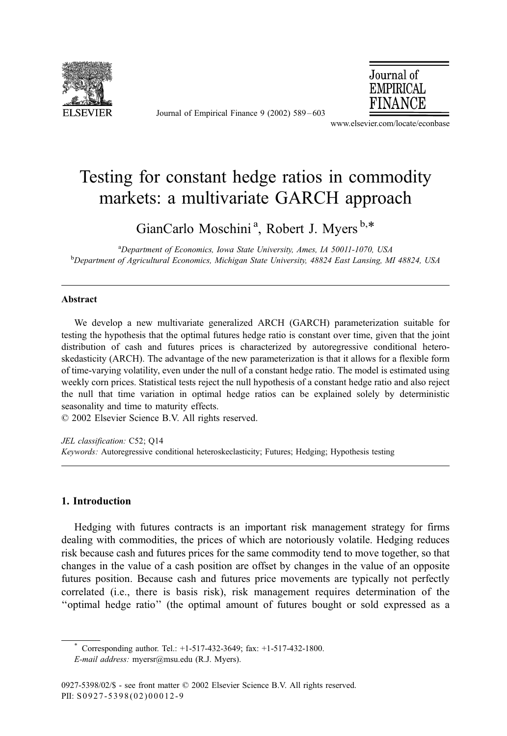

Journal of Empirical Finance 9 (2002) 589 – 603



www.elsevier.com/locate/econbase

## Testing for constant hedge ratios in commodity markets: a multivariate GARCH approach

GianCarlo Moschini<sup>a</sup>, Robert J. Myers<sup>b,\*</sup>

<sup>a</sup> Department of Economics, Iowa State University, Ames, IA 50011-1070, USA<br><sup>b</sup> Department of Agricultural Economics, Michigan State University, A8824 East Lansing, M <sup>b</sup>Department of Agricultural Economics, Michigan State University, 48824 East Lansing, MI 48824, USA

#### Abstract

We develop a new multivariate generalized ARCH (GARCH) parameterization suitable for testing the hypothesis that the optimal futures hedge ratio is constant over time, given that the joint distribution of cash and futures prices is characterized by autoregressive conditional heteroskedasticity (ARCH). The advantage of the new parameterization is that it allows for a flexible form of time-varying volatility, even under the null of a constant hedge ratio. The model is estimated using weekly corn prices. Statistical tests reject the null hypothesis of a constant hedge ratio and also reject the null that time variation in optimal hedge ratios can be explained solely by deterministic seasonality and time to maturity effects.

 $\odot$  2002 Elsevier Science B.V. All rights reserved.

JEL classification: C52; Q14 Keywords: Autoregressive conditional heteroskeclasticity; Futures; Hedging; Hypothesis testing

### 1. Introduction

Hedging with futures contracts is an important risk management strategy for firms dealing with commodities, the prices of which are notoriously volatile. Hedging reduces risk because cash and futures prices for the same commodity tend to move together, so that changes in the value of a cash position are offset by changes in the value of an opposite futures position. Because cash and futures price movements are typically not perfectly correlated (i.e., there is basis risk), risk management requires determination of the ''optimal hedge ratio'' (the optimal amount of futures bought or sold expressed as a

<sup>\*</sup> Corresponding author. Tel.:  $+1-517-432-3649$ ; fax:  $+1-517-432-1800$ .

E-mail address: myersr@msu.edu (R.J. Myers).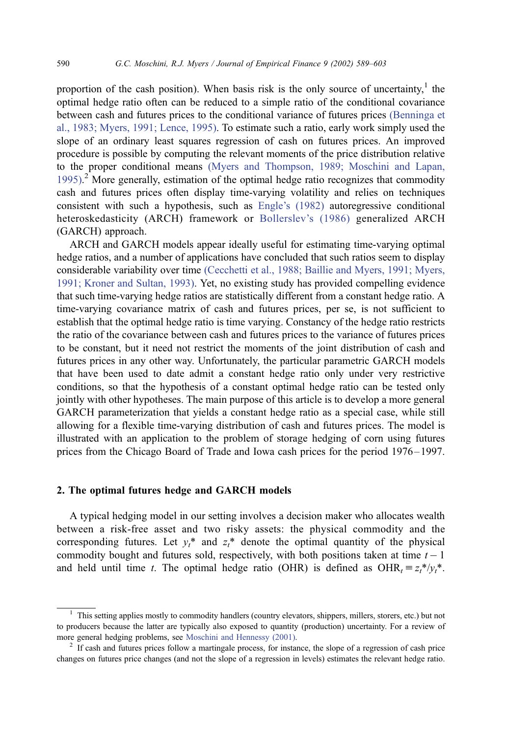proportion of the cash position). When basis risk is the only source of uncertainty,<sup>1</sup> the optimal hedge ratio often can be reduced to a simple ratio of the conditional covariance between cash and futures prices to the conditional variance of futures prices [\(Benninga et](#page--1-0) al., 1983; Myers, 1991; Lence, 1995). To estimate such a ratio, early work simply used the slope of an ordinary least squares regression of cash on futures prices. An improved procedure is possible by computing the relevant moments of the price distribution relative to the proper conditional means [\(Myers and Thompson, 1989; Moschini and Lapan,](#page--1-0) 1995).<sup>2</sup> More generally, estimation of the optimal hedge ratio recognizes that commodity cash and futures prices often display time-varying volatility and relies on techniques consistent with such a hypothesis, such as [Engle's \(1982\)](#page--1-0) autoregressive conditional heteroskedasticity (ARCH) framework or [Bollerslev's \(1986\)](#page--1-0) generalized ARCH (GARCH) approach.

ARCH and GARCH models appear ideally useful for estimating time-varying optimal hedge ratios, and a number of applications have concluded that such ratios seem to display considerable variability over time [\(Cecchetti et al., 1988; Baillie and Myers, 1991; Myers,](#page--1-0) 1991; Kroner and Sultan, 1993). Yet, no existing study has provided compelling evidence that such time-varying hedge ratios are statistically different from a constant hedge ratio. A time-varying covariance matrix of cash and futures prices, per se, is not sufficient to establish that the optimal hedge ratio is time varying. Constancy of the hedge ratio restricts the ratio of the covariance between cash and futures prices to the variance of futures prices to be constant, but it need not restrict the moments of the joint distribution of cash and futures prices in any other way. Unfortunately, the particular parametric GARCH models that have been used to date admit a constant hedge ratio only under very restrictive conditions, so that the hypothesis of a constant optimal hedge ratio can be tested only jointly with other hypotheses. The main purpose of this article is to develop a more general GARCH parameterization that yields a constant hedge ratio as a special case, while still allowing for a flexible time-varying distribution of cash and futures prices. The model is illustrated with an application to the problem of storage hedging of corn using futures prices from the Chicago Board of Trade and Iowa cash prices for the period 1976– 1997.

#### 2. The optimal futures hedge and GARCH models

A typical hedging model in our setting involves a decision maker who allocates wealth between a risk-free asset and two risky assets: the physical commodity and the corresponding futures. Let  $y_t^*$  and  $z_t^*$  denote the optimal quantity of the physical commodity bought and futures sold, respectively, with both positions taken at time  $t - 1$ and held until time t. The optimal hedge ratio (OHR) is defined as  $\text{OHR}_{t} \equiv z_{t}^{*}/y_{t}^{*}$ .

<sup>&</sup>lt;sup>1</sup> This setting applies mostly to commodity handlers (country elevators, shippers, millers, storers, etc.) but not to producers because the latter are typically also exposed to quantity (production) uncertainty. For a review of more general hedging problems, see [Moschini and Hennessy \(2001\).](#page--1-0)<br><sup>2</sup> If cash and futures prices follow a martingale process, for instance, the slope of a regression of cash price

changes on futures price changes (and not the slope of a regression in levels) estimates the relevant hedge ratio.